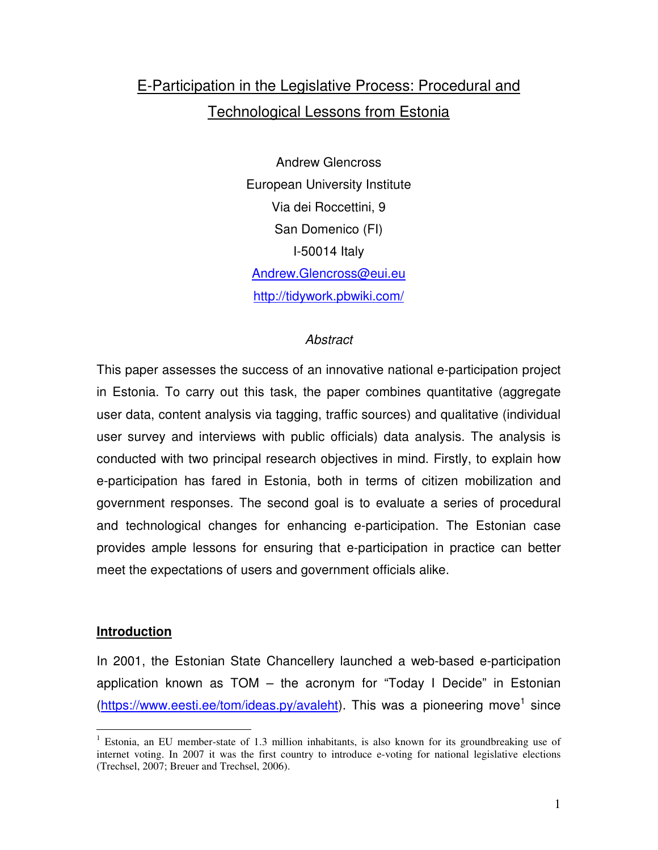# E-Participation in the Legislative Process: Procedural and Technological Lessons from Estonia

Andrew Glencross European University Institute Via dei Roccettini, 9 San Domenico (FI) I-50014 Italy Andrew.Glencross@eui.eu http://tidywork.pbwiki.com/

### **Abstract**

This paper assesses the success of an innovative national e-participation project in Estonia. To carry out this task, the paper combines quantitative (aggregate user data, content analysis via tagging, traffic sources) and qualitative (individual user survey and interviews with public officials) data analysis. The analysis is conducted with two principal research objectives in mind. Firstly, to explain how e-participation has fared in Estonia, both in terms of citizen mobilization and government responses. The second goal is to evaluate a series of procedural and technological changes for enhancing e-participation. The Estonian case provides ample lessons for ensuring that e-participation in practice can better meet the expectations of users and government officials alike.

#### **Introduction**

In 2001, the Estonian State Chancellery launched a web-based e-participation application known as TOM – the acronym for "Today I Decide" in Estonian (https://www.eesti.ee/tom/ideas.py/avaleht). This was a pioneering move<sup>1</sup> since

 $\overline{a}$ <sup>1</sup> Estonia, an EU member-state of 1.3 million inhabitants, is also known for its groundbreaking use of internet voting. In 2007 it was the first country to introduce e-voting for national legislative elections (Trechsel, 2007; Breuer and Trechsel, 2006).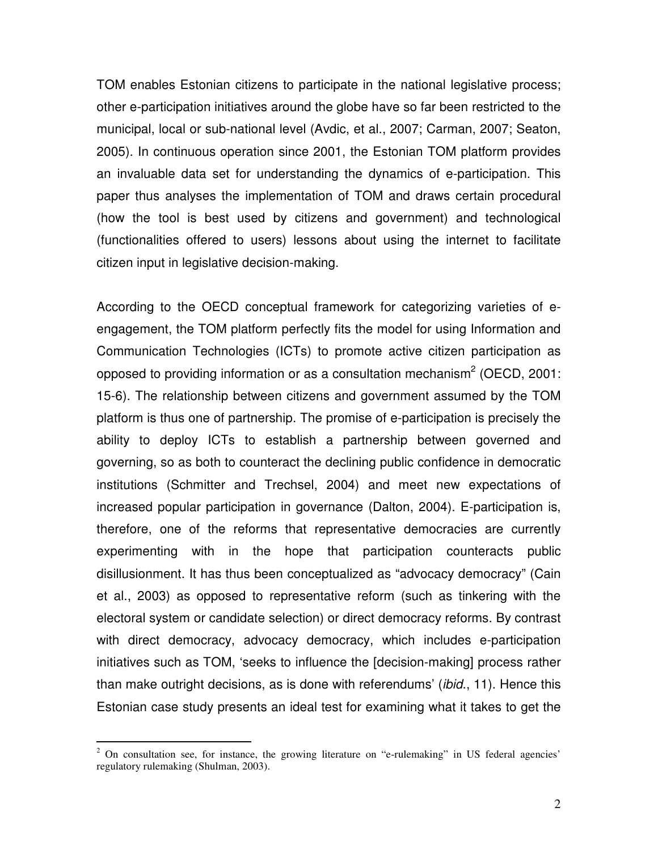TOM enables Estonian citizens to participate in the national legislative process; other e-participation initiatives around the globe have so far been restricted to the municipal, local or sub-national level (Avdic, et al., 2007; Carman, 2007; Seaton, 2005). In continuous operation since 2001, the Estonian TOM platform provides an invaluable data set for understanding the dynamics of e-participation. This paper thus analyses the implementation of TOM and draws certain procedural (how the tool is best used by citizens and government) and technological (functionalities offered to users) lessons about using the internet to facilitate citizen input in legislative decision-making.

According to the OECD conceptual framework for categorizing varieties of eengagement, the TOM platform perfectly fits the model for using Information and Communication Technologies (ICTs) to promote active citizen participation as opposed to providing information or as a consultation mechanism<sup>2</sup> (OECD, 2001: 15-6). The relationship between citizens and government assumed by the TOM platform is thus one of partnership. The promise of e-participation is precisely the ability to deploy ICTs to establish a partnership between governed and governing, so as both to counteract the declining public confidence in democratic institutions (Schmitter and Trechsel, 2004) and meet new expectations of increased popular participation in governance (Dalton, 2004). E-participation is, therefore, one of the reforms that representative democracies are currently experimenting with in the hope that participation counteracts public disillusionment. It has thus been conceptualized as "advocacy democracy" (Cain et al., 2003) as opposed to representative reform (such as tinkering with the electoral system or candidate selection) or direct democracy reforms. By contrast with direct democracy, advocacy democracy, which includes e-participation initiatives such as TOM, 'seeks to influence the [decision-making] process rather than make outright decisions, as is done with referendums' (ibid., 11). Hence this Estonian case study presents an ideal test for examining what it takes to get the

<sup>&</sup>lt;sup>2</sup> On consultation see, for instance, the growing literature on "e-rulemaking" in US federal agencies' regulatory rulemaking (Shulman, 2003).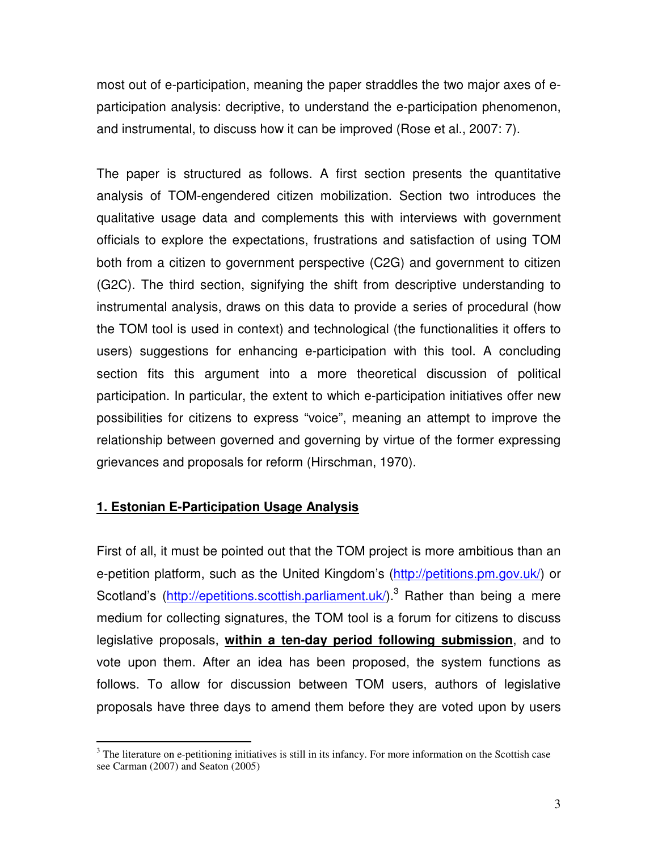most out of e-participation, meaning the paper straddles the two major axes of eparticipation analysis: decriptive, to understand the e-participation phenomenon, and instrumental, to discuss how it can be improved (Rose et al., 2007: 7).

The paper is structured as follows. A first section presents the quantitative analysis of TOM-engendered citizen mobilization. Section two introduces the qualitative usage data and complements this with interviews with government officials to explore the expectations, frustrations and satisfaction of using TOM both from a citizen to government perspective (C2G) and government to citizen (G2C). The third section, signifying the shift from descriptive understanding to instrumental analysis, draws on this data to provide a series of procedural (how the TOM tool is used in context) and technological (the functionalities it offers to users) suggestions for enhancing e-participation with this tool. A concluding section fits this argument into a more theoretical discussion of political participation. In particular, the extent to which e-participation initiatives offer new possibilities for citizens to express "voice", meaning an attempt to improve the relationship between governed and governing by virtue of the former expressing grievances and proposals for reform (Hirschman, 1970).

### **1. Estonian E-Participation Usage Analysis**

First of all, it must be pointed out that the TOM project is more ambitious than an e-petition platform, such as the United Kingdom's (http://petitions.pm.gov.uk/) or Scotland's (http://epetitions.scottish.parliament.uk/).<sup>3</sup> Rather than being a mere medium for collecting signatures, the TOM tool is a forum for citizens to discuss legislative proposals, **within a ten-day period following submission**, and to vote upon them. After an idea has been proposed, the system functions as follows. To allow for discussion between TOM users, authors of legislative proposals have three days to amend them before they are voted upon by users

<sup>&</sup>lt;sup>3</sup> The literature on e-petitioning initiatives is still in its infancy. For more information on the Scottish case see Carman (2007) and Seaton (2005)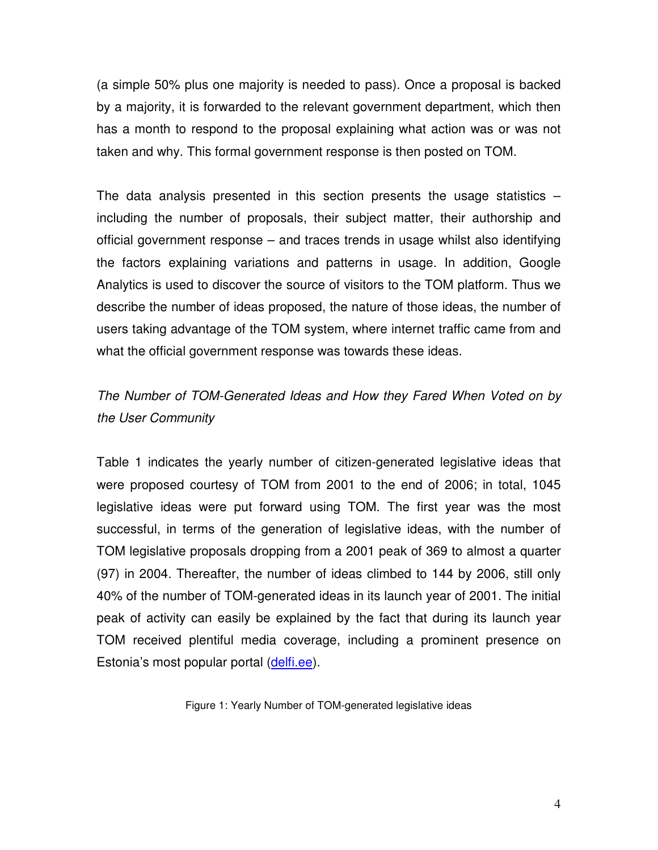(a simple 50% plus one majority is needed to pass). Once a proposal is backed by a majority, it is forwarded to the relevant government department, which then has a month to respond to the proposal explaining what action was or was not taken and why. This formal government response is then posted on TOM.

The data analysis presented in this section presents the usage statistics  $$ including the number of proposals, their subject matter, their authorship and official government response – and traces trends in usage whilst also identifying the factors explaining variations and patterns in usage. In addition, Google Analytics is used to discover the source of visitors to the TOM platform. Thus we describe the number of ideas proposed, the nature of those ideas, the number of users taking advantage of the TOM system, where internet traffic came from and what the official government response was towards these ideas.

# The Number of TOM-Generated Ideas and How they Fared When Voted on by the User Community

Table 1 indicates the yearly number of citizen-generated legislative ideas that were proposed courtesy of TOM from 2001 to the end of 2006; in total, 1045 legislative ideas were put forward using TOM. The first year was the most successful, in terms of the generation of legislative ideas, with the number of TOM legislative proposals dropping from a 2001 peak of 369 to almost a quarter (97) in 2004. Thereafter, the number of ideas climbed to 144 by 2006, still only 40% of the number of TOM-generated ideas in its launch year of 2001. The initial peak of activity can easily be explained by the fact that during its launch year TOM received plentiful media coverage, including a prominent presence on Estonia's most popular portal (delfi.ee).

Figure 1: Yearly Number of TOM-generated legislative ideas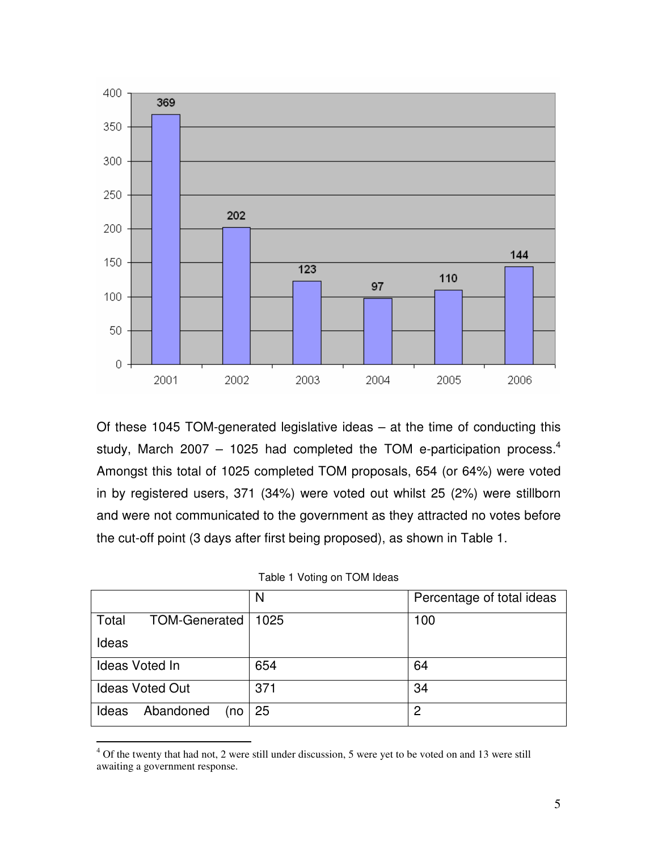

Of these 1045 TOM-generated legislative ideas – at the time of conducting this study, March 2007 – 1025 had completed the TOM e-participation process.<sup>4</sup> Amongst this total of 1025 completed TOM proposals, 654 (or 64%) were voted in by registered users, 371 (34%) were voted out whilst 25 (2%) were stillborn and were not communicated to the government as they attracted no votes before the cut-off point (3 days after first being proposed), as shown in Table 1.

| Table 1 Voting on TOM Ideas |  |  |  |  |
|-----------------------------|--|--|--|--|
|-----------------------------|--|--|--|--|

|                           | N    | Percentage of total ideas |
|---------------------------|------|---------------------------|
| Total<br>TOM-Generated    | 1025 | 100                       |
| Ideas                     |      |                           |
| Ideas Voted In            | 654  | 64                        |
| <b>Ideas Voted Out</b>    | 371  | 34                        |
| Abandoned<br>Ideas<br>(no | 25   | 2                         |

 4 Of the twenty that had not, 2 were still under discussion, 5 were yet to be voted on and 13 were still awaiting a government response.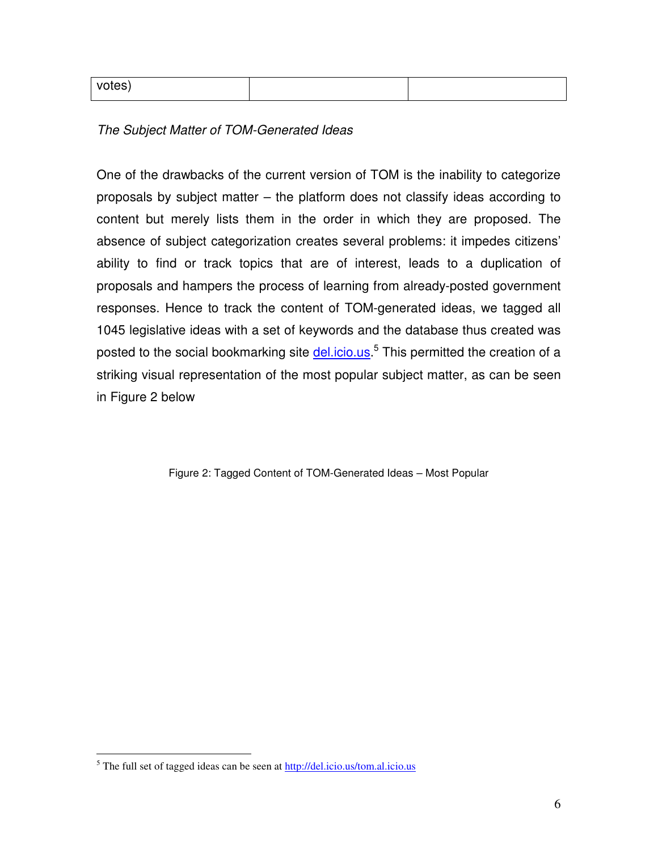| ---<br>$N_{\rm O}$<br>nes<br>. |  |  |
|--------------------------------|--|--|
|--------------------------------|--|--|

The Subject Matter of TOM-Generated Ideas

One of the drawbacks of the current version of TOM is the inability to categorize proposals by subject matter – the platform does not classify ideas according to content but merely lists them in the order in which they are proposed. The absence of subject categorization creates several problems: it impedes citizens' ability to find or track topics that are of interest, leads to a duplication of proposals and hampers the process of learning from already-posted government responses. Hence to track the content of TOM-generated ideas, we tagged all 1045 legislative ideas with a set of keywords and the database thus created was posted to the social bookmarking site **del.icio.us**.<sup>5</sup> This permitted the creation of a striking visual representation of the most popular subject matter, as can be seen in Figure 2 below

Figure 2: Tagged Content of TOM-Generated Ideas – Most Popular

l

<sup>&</sup>lt;sup>5</sup> The full set of tagged ideas can be seen at http://del.icio.us/tom.al.icio.us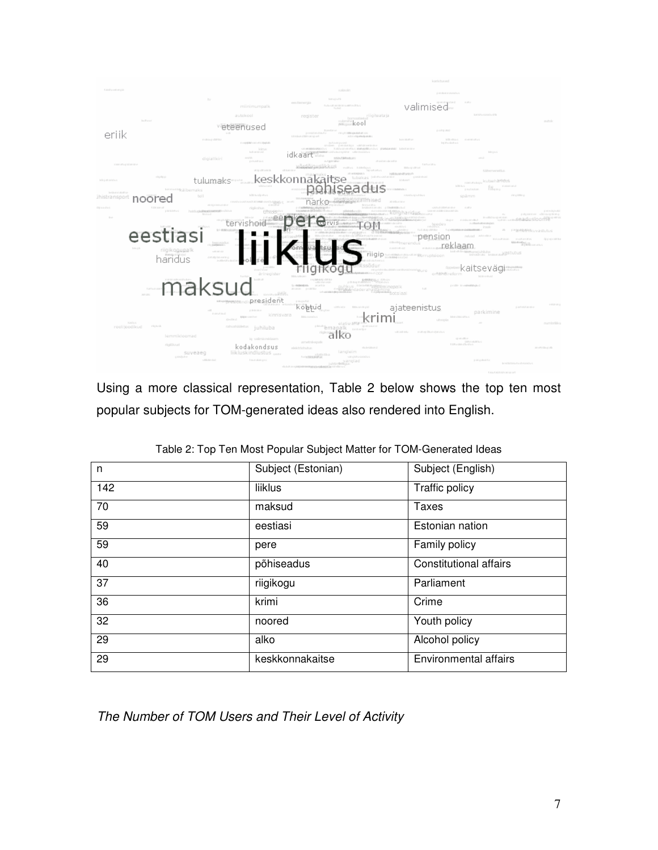

Using a more classical representation, Table 2 below shows the top ten most popular subjects for TOM-generated ideas also rendered into English.

| n   | Subject (Estonian) | Subject (English)             |
|-----|--------------------|-------------------------------|
| 142 | liiklus            | Traffic policy                |
| 70  | maksud             | Taxes                         |
| 59  | eestiasi           | Estonian nation               |
| 59  | pere               | Family policy                 |
| 40  | põhiseadus         | <b>Constitutional affairs</b> |
| 37  | riigikogu          | Parliament                    |
| 36  | krimi              | Crime                         |
| 32  | noored             | Youth policy                  |
| 29  | alko               | Alcohol policy                |
| 29  | keskkonnakaitse    | <b>Environmental affairs</b>  |

Table 2: Top Ten Most Popular Subject Matter for TOM-Generated Ideas

The Number of TOM Users and Their Level of Activity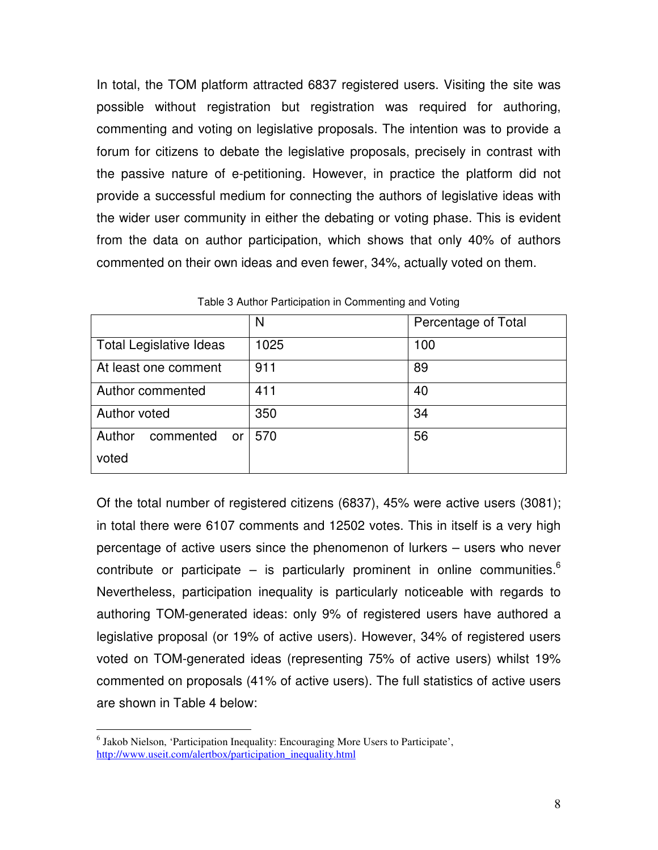In total, the TOM platform attracted 6837 registered users. Visiting the site was possible without registration but registration was required for authoring, commenting and voting on legislative proposals. The intention was to provide a forum for citizens to debate the legislative proposals, precisely in contrast with the passive nature of e-petitioning. However, in practice the platform did not provide a successful medium for connecting the authors of legislative ideas with the wider user community in either the debating or voting phase. This is evident from the data on author participation, which shows that only 40% of authors commented on their own ideas and even fewer, 34%, actually voted on them.

|                                | N    | Percentage of Total |
|--------------------------------|------|---------------------|
| <b>Total Legislative Ideas</b> | 1025 | 100                 |
| At least one comment           | 911  | 89                  |
| Author commented               | 411  | 40                  |
| Author voted                   | 350  | 34                  |
| Author<br>commented or         | 570  | 56                  |
| voted                          |      |                     |

Table 3 Author Participation in Commenting and Voting

Of the total number of registered citizens (6837), 45% were active users (3081); in total there were 6107 comments and 12502 votes. This in itself is a very high percentage of active users since the phenomenon of lurkers – users who never contribute or participate – is particularly prominent in online communities. $6$ Nevertheless, participation inequality is particularly noticeable with regards to authoring TOM-generated ideas: only 9% of registered users have authored a legislative proposal (or 19% of active users). However, 34% of registered users voted on TOM-generated ideas (representing 75% of active users) whilst 19% commented on proposals (41% of active users). The full statistics of active users are shown in Table 4 below:

 $\overline{a}$ 

<sup>&</sup>lt;sup>6</sup> Jakob Nielson, 'Participation Inequality: Encouraging More Users to Participate', http://www.useit.com/alertbox/participation\_inequality.html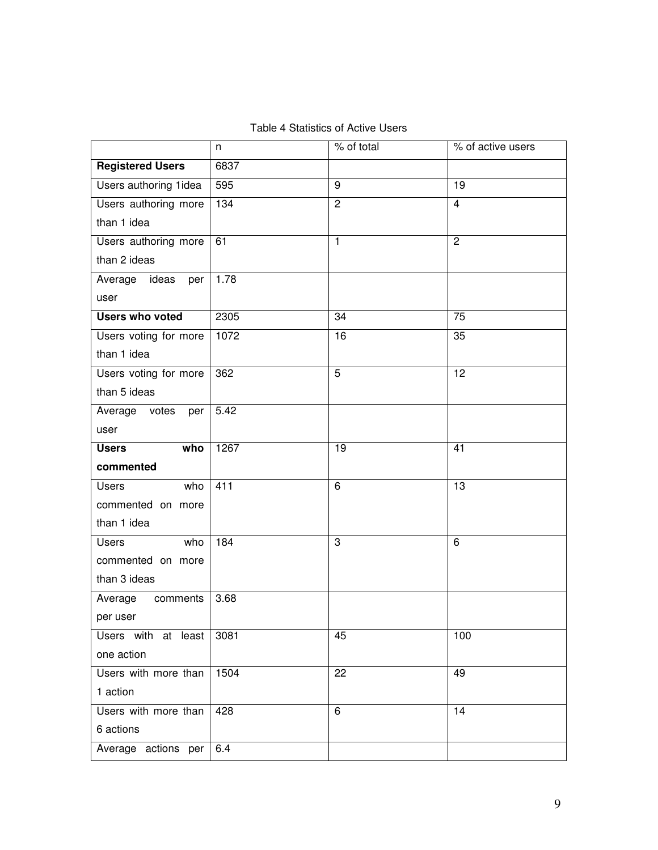|                         | n    | % of total     | % of active users |
|-------------------------|------|----------------|-------------------|
| <b>Registered Users</b> | 6837 |                |                   |
| Users authoring 1idea   | 595  | 9              | $\overline{19}$   |
| Users authoring more    | 134  | $\overline{2}$ | $\overline{4}$    |
| than 1 idea             |      |                |                   |
| Users authoring more    | 61   | $\mathbf{1}$   | $\overline{c}$    |
| than 2 ideas            |      |                |                   |
| Average ideas<br>per    | 1.78 |                |                   |
| user                    |      |                |                   |
| <b>Users who voted</b>  | 2305 | 34             | 75                |
| Users voting for more   | 1072 | 16             | 35                |
| than 1 idea             |      |                |                   |
| Users voting for more   | 362  | 5              | $\overline{12}$   |
| than 5 ideas            |      |                |                   |
| Average votes<br>per    | 5.42 |                |                   |
| user                    |      |                |                   |
| <b>Users</b><br>who     | 1267 | 19             | 41                |
| commented               |      |                |                   |
| <b>Users</b><br>who     | 411  | 6              | $\overline{13}$   |
| commented on more       |      |                |                   |
| than 1 idea             |      |                |                   |
| <b>Users</b><br>who     | 184  | 3              | 6                 |
| commented on more       |      |                |                   |
| than 3 ideas            |      |                |                   |
| Average<br>comments     | 3.68 |                |                   |
| per user                |      |                |                   |
| Users with at least     | 3081 | 45             | 100               |
| one action              |      |                |                   |
| Users with more than    | 1504 | 22             | 49                |
| 1 action                |      |                |                   |
| Users with more than    | 428  | 6              | 14                |
| 6 actions               |      |                |                   |
| Average actions per     | 6.4  |                |                   |

I

Table 4 Statistics of Active Users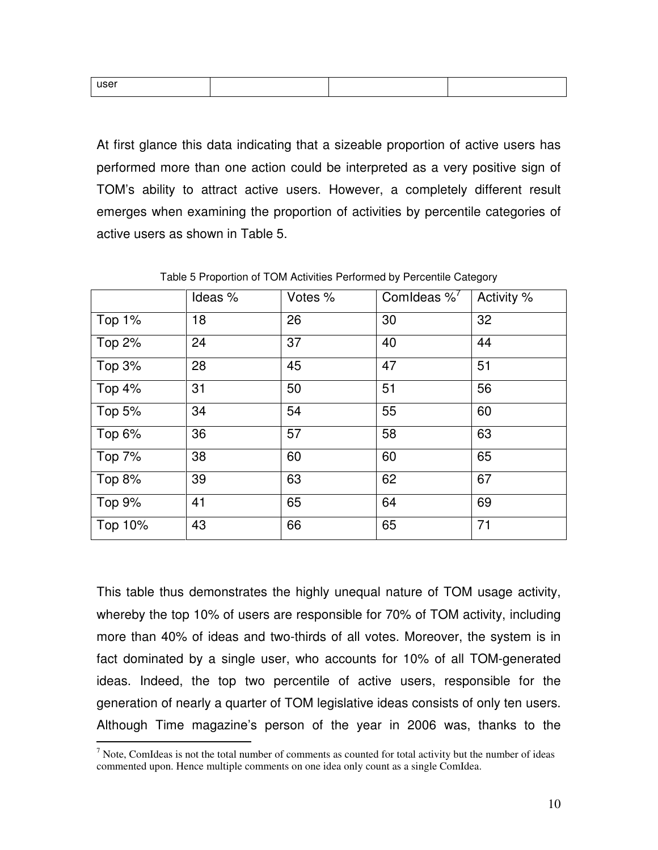| user |  |  |
|------|--|--|
|      |  |  |

At first glance this data indicating that a sizeable proportion of active users has performed more than one action could be interpreted as a very positive sign of TOM's ability to attract active users. However, a completely different result emerges when examining the proportion of activities by percentile categories of active users as shown in Table 5.

|                 | Ideas % | Votes % | Comideas $%^{\prime}$ | Activity % |
|-----------------|---------|---------|-----------------------|------------|
| Top 1%          | 18      | 26      | 30                    | 32         |
| Top 2%          | 24      | 37      | 40                    | 44         |
| Top 3%          | 28      | 45      | 47                    | 51         |
| Top $4\sqrt{6}$ | 31      | 50      | 51                    | 56         |
| Top 5%          | 34      | 54      | 55                    | 60         |
| Top 6%          | 36      | 57      | 58                    | 63         |
| Top 7%          | 38      | 60      | 60                    | 65         |
| Top 8%          | 39      | 63      | 62                    | 67         |
| Top 9%          | 41      | 65      | 64                    | 69         |
| Top 10%         | 43      | 66      | 65                    | 71         |

Table 5 Proportion of TOM Activities Performed by Percentile Category

This table thus demonstrates the highly unequal nature of TOM usage activity, whereby the top 10% of users are responsible for 70% of TOM activity, including more than 40% of ideas and two-thirds of all votes. Moreover, the system is in fact dominated by a single user, who accounts for 10% of all TOM-generated ideas. Indeed, the top two percentile of active users, responsible for the generation of nearly a quarter of TOM legislative ideas consists of only ten users. Although Time magazine's person of the year in 2006 was, thanks to the

<sup>&</sup>lt;sup>7</sup> Note, ComIdeas is not the total number of comments as counted for total activity but the number of ideas commented upon. Hence multiple comments on one idea only count as a single ComIdea.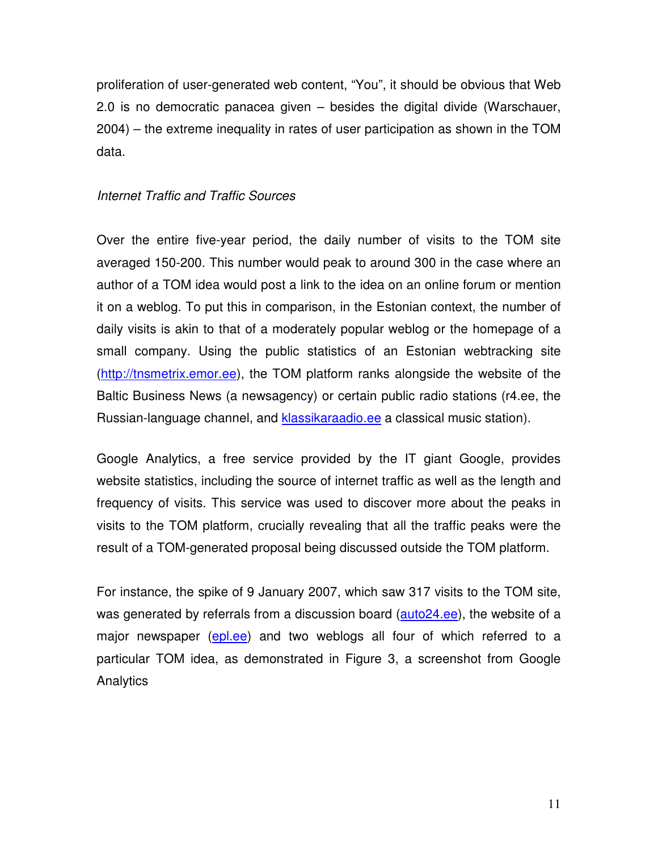proliferation of user-generated web content, "You", it should be obvious that Web 2.0 is no democratic panacea given – besides the digital divide (Warschauer, 2004) – the extreme inequality in rates of user participation as shown in the TOM data.

### Internet Traffic and Traffic Sources

Over the entire five-year period, the daily number of visits to the TOM site averaged 150-200. This number would peak to around 300 in the case where an author of a TOM idea would post a link to the idea on an online forum or mention it on a weblog. To put this in comparison, in the Estonian context, the number of daily visits is akin to that of a moderately popular weblog or the homepage of a small company. Using the public statistics of an Estonian webtracking site (http://tnsmetrix.emor.ee), the TOM platform ranks alongside the website of the Baltic Business News (a newsagency) or certain public radio stations (r4.ee, the Russian-language channel, and klassikaraadio.ee a classical music station).

Google Analytics, a free service provided by the IT giant Google, provides website statistics, including the source of internet traffic as well as the length and frequency of visits. This service was used to discover more about the peaks in visits to the TOM platform, crucially revealing that all the traffic peaks were the result of a TOM-generated proposal being discussed outside the TOM platform.

For instance, the spike of 9 January 2007, which saw 317 visits to the TOM site, was generated by referrals from a discussion board (auto24.ee), the website of a major newspaper (epl.ee) and two weblogs all four of which referred to a particular TOM idea, as demonstrated in Figure 3, a screenshot from Google **Analytics**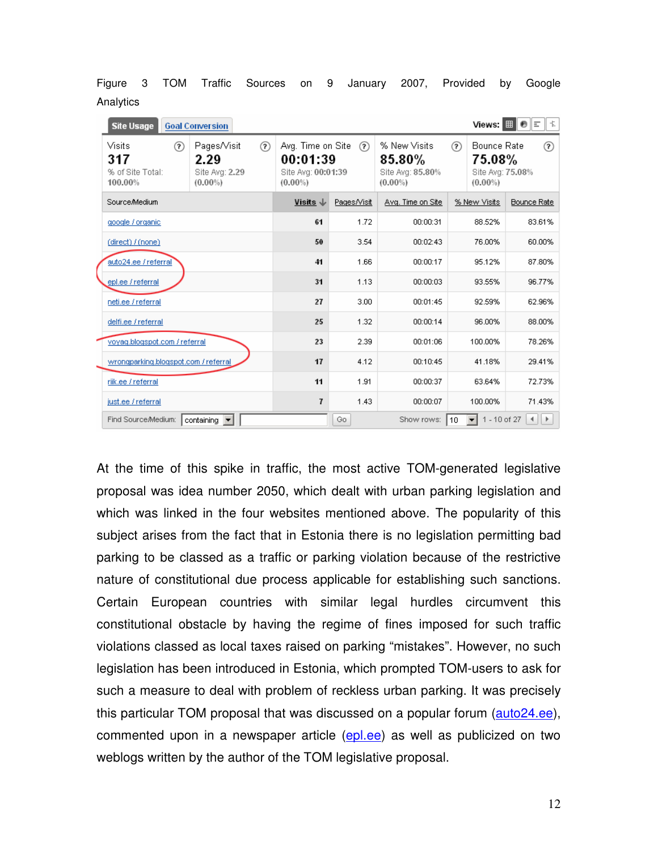| <b>Site Usage</b>                            | <b>Goal Conversion</b>                                    |             |                                                                   |             |                                                             |     |                                                         | Views: $\boxed{\mathbf{H}}$ $\Theta$ $\boxed{\mathbf{F}}$<br>丰 |
|----------------------------------------------|-----------------------------------------------------------|-------------|-------------------------------------------------------------------|-------------|-------------------------------------------------------------|-----|---------------------------------------------------------|----------------------------------------------------------------|
| Visits<br>317<br>% of Site Total:<br>100.00% | Pages/Visit<br>?)<br>2.29<br>Site Avg: 2.29<br>$(0.00\%)$ | $\circledR$ | Avg. Time on Site<br>00:01:39<br>Site Ava: 00:01:39<br>$(0.00\%)$ | (2)         | % New Visits<br>$85.80\%$<br>Site Ava: 85,80%<br>$(0.00\%)$ | (?) | Bounce Rate<br>75.08%<br>Site Ava: 75.08%<br>$(0.00\%)$ | の                                                              |
| Source/Medium                                |                                                           |             | Visits $\downarrow$                                               | Pages/Visit | Avg. Time on Site                                           |     | % New Visits                                            | <b>Bounce Rate</b>                                             |
| google / organic                             |                                                           |             | 61                                                                | 1.72        | 00:00:31                                                    |     | 88.52%                                                  | 83.61%                                                         |
| (direct) / (none)                            |                                                           |             | 50                                                                | 3.54        | 00:02:43                                                    |     | 76.00%                                                  | 60.00%                                                         |
| auto24.ee / referral                         |                                                           |             | 41                                                                | 1.66        | 00:00:17                                                    |     | 95.12%                                                  | 87.80%                                                         |
| epl.ee / referral                            |                                                           |             | 31                                                                | 1.13        | 00:00:03                                                    |     | 93.55%                                                  | 96.77%                                                         |
| netilee / referral                           |                                                           |             | 27                                                                | 3.00        | 00:01:45                                                    |     | 92.59%                                                  | 62.96%                                                         |
| delfi.ee / referral                          |                                                           |             | 25                                                                | 1.32        | 00:00:14                                                    |     | 96.00%                                                  | 88.00%                                                         |
| voyag.blogspot.com / referral                |                                                           |             | 23                                                                | 2.39        | 00:01:06                                                    |     | 100.00%                                                 | 78.26%                                                         |
| wrongparking.blogspot.com / referral         |                                                           |             | 17                                                                | 4.12        | 00:10:45                                                    |     | 41.18%                                                  | 29.41%                                                         |
| riik.ee / referral                           |                                                           |             | 11                                                                | 1.91        | 00:00:37                                                    |     | 63.64%                                                  | 72.73%                                                         |
| just.ee / referral                           |                                                           |             | $\overline{\mathbf{I}}$                                           | 1.43        | 00:00:07                                                    |     | 100.00%                                                 | 71.43%                                                         |
| Find Source/Medium:                          | containing v                                              |             |                                                                   | Go          | Show rows:                                                  | 10  | 1 - 10 of 27<br>▾╎                                      | ∢<br>$\rightarrow$                                             |

Figure 3 TOM Traffic Sources on 9 January 2007, Provided by Google **Analytics** 

At the time of this spike in traffic, the most active TOM-generated legislative proposal was idea number 2050, which dealt with urban parking legislation and which was linked in the four websites mentioned above. The popularity of this subject arises from the fact that in Estonia there is no legislation permitting bad parking to be classed as a traffic or parking violation because of the restrictive nature of constitutional due process applicable for establishing such sanctions. Certain European countries with similar legal hurdles circumvent this constitutional obstacle by having the regime of fines imposed for such traffic violations classed as local taxes raised on parking "mistakes". However, no such legislation has been introduced in Estonia, which prompted TOM-users to ask for such a measure to deal with problem of reckless urban parking. It was precisely this particular TOM proposal that was discussed on a popular forum (auto24.ee), commented upon in a newspaper article (epl.ee) as well as publicized on two weblogs written by the author of the TOM legislative proposal.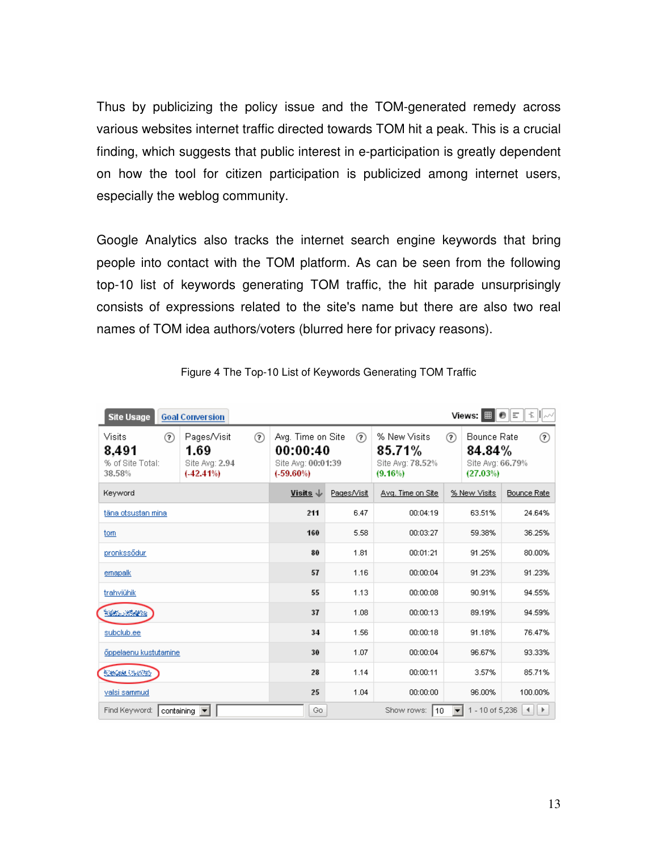Thus by publicizing the policy issue and the TOM-generated remedy across various websites internet traffic directed towards TOM hit a peak. This is a crucial finding, which suggests that public interest in e-participation is greatly dependent on how the tool for citizen participation is publicized among internet users, especially the weblog community.

Google Analytics also tracks the internet search engine keywords that bring people into contact with the TOM platform. As can be seen from the following top-10 list of keywords generating TOM traffic, the hit parade unsurprisingly consists of expressions related to the site's name but there are also two real names of TOM idea authors/voters (blurred here for privacy reasons).

| <b>Site Usage</b>                                  | <b>Goal Conversion</b>                                               |                                                                     |             |                                                       |                                                            | 卡川ルベ<br>6 E                            |
|----------------------------------------------------|----------------------------------------------------------------------|---------------------------------------------------------------------|-------------|-------------------------------------------------------|------------------------------------------------------------|----------------------------------------|
| Visits<br>の<br>8,491<br>% of Site Total:<br>38.58% | $\circledR$<br>Pages/Visit<br>1.69<br>Site Avg: 2.94<br>$(-42.41\%)$ | Avg. Time on Site<br>00:00:40<br>Site Avg: 00:01:39<br>$(-59.60\%)$ | の           | % New Visits<br>85.71%<br>Site Avg: 78.52%<br>(9.16%) | の<br>Bounce Rate<br>84.84%<br>Site Avg: 66.79%<br>(27.03%) | の                                      |
| Keyword                                            |                                                                      | Visits $\downarrow$                                                 | Pages/Visit | Avg. Time on Site                                     | % New Visits                                               | <b>Bounce Rate</b>                     |
| täna otsustan mina                                 |                                                                      | 211                                                                 | 6.47        | 00:04:19                                              | 63.51%                                                     | 24.64%                                 |
| tom                                                |                                                                      | 160                                                                 | 5.58        | 00:03:27                                              | 59.38%                                                     | 36.25%                                 |
| pronkssödur                                        |                                                                      | 80                                                                  | 1.81        | 00:01:21                                              | 91.25%                                                     | 80.00%                                 |
| emapalk                                            |                                                                      | 57                                                                  | 1.16        | 00:00:04                                              | 91.23%                                                     | 91.23%                                 |
| trahviühik                                         |                                                                      | 55                                                                  | 1.13        | 00:00:08                                              | 90.91%                                                     | 94.55%                                 |
| <b>Kathari Roberts</b>                             |                                                                      | 37                                                                  | 1.08        | 00:00:13                                              | 89.19%                                                     | 94.59%                                 |
| subclub.ee                                         |                                                                      | 34                                                                  | 1.56        | 00:00:18                                              | 91.18%                                                     | 76.47%                                 |
| őppelaenu kustutamine.                             |                                                                      | 30                                                                  | 1.07        | 00:00:04                                              | 96.67%                                                     | 93.33%                                 |
| 医療装置(多数額)                                          |                                                                      | 28                                                                  | 1.14        | 00:00:11                                              | 3.57%                                                      | 85.71%                                 |
| valsi sammud                                       |                                                                      | 25                                                                  | 1.04        | 00:00:00                                              | 96.00%                                                     | 100.00%                                |
| Find Keyword:                                      | containing $\boxed{\blacktriangledown}$                              | Go                                                                  |             | Show rows:<br>10                                      | 1 - 10 of 5,236                                            | $\blacktriangleright$<br>$\rightarrow$ |

Figure 4 The Top-10 List of Keywords Generating TOM Traffic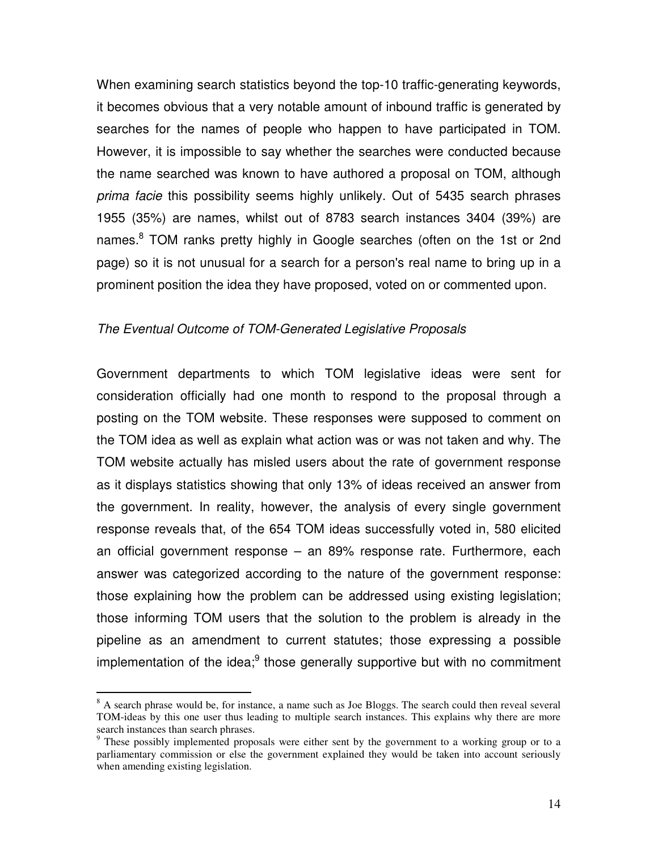When examining search statistics beyond the top-10 traffic-generating keywords, it becomes obvious that a very notable amount of inbound traffic is generated by searches for the names of people who happen to have participated in TOM. However, it is impossible to say whether the searches were conducted because the name searched was known to have authored a proposal on TOM, although prima facie this possibility seems highly unlikely. Out of 5435 search phrases 1955 (35%) are names, whilst out of 8783 search instances 3404 (39%) are names.<sup>8</sup> TOM ranks pretty highly in Google searches (often on the 1st or 2nd page) so it is not unusual for a search for a person's real name to bring up in a prominent position the idea they have proposed, voted on or commented upon.

#### The Eventual Outcome of TOM-Generated Legislative Proposals

Government departments to which TOM legislative ideas were sent for consideration officially had one month to respond to the proposal through a posting on the TOM website. These responses were supposed to comment on the TOM idea as well as explain what action was or was not taken and why. The TOM website actually has misled users about the rate of government response as it displays statistics showing that only 13% of ideas received an answer from the government. In reality, however, the analysis of every single government response reveals that, of the 654 TOM ideas successfully voted in, 580 elicited an official government response – an 89% response rate. Furthermore, each answer was categorized according to the nature of the government response: those explaining how the problem can be addressed using existing legislation; those informing TOM users that the solution to the problem is already in the pipeline as an amendment to current statutes; those expressing a possible implementation of the idea;<sup>9</sup> those generally supportive but with no commitment

 $\overline{a}$ 

<sup>&</sup>lt;sup>8</sup> A search phrase would be, for instance, a name such as Joe Bloggs. The search could then reveal several TOM-ideas by this one user thus leading to multiple search instances. This explains why there are more search instances than search phrases.

<sup>&</sup>lt;sup>9</sup> These possibly implemented proposals were either sent by the government to a working group or to a parliamentary commission or else the government explained they would be taken into account seriously when amending existing legislation.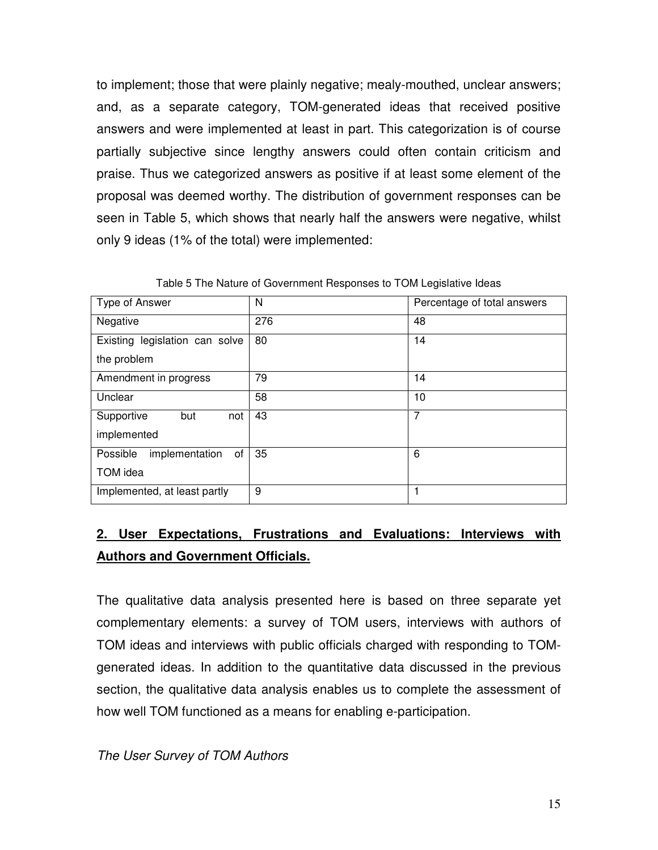to implement; those that were plainly negative; mealy-mouthed, unclear answers; and, as a separate category, TOM-generated ideas that received positive answers and were implemented at least in part. This categorization is of course partially subjective since lengthy answers could often contain criticism and praise. Thus we categorized answers as positive if at least some element of the proposal was deemed worthy. The distribution of government responses can be seen in Table 5, which shows that nearly half the answers were negative, whilst only 9 ideas (1% of the total) were implemented:

| Type of Answer                   | N   | Percentage of total answers |
|----------------------------------|-----|-----------------------------|
| Negative                         | 276 | 48                          |
| Existing legislation can solve   | 80  | 14                          |
| the problem                      |     |                             |
| Amendment in progress            | 79  | 14                          |
| Unclear                          | 58  | 10                          |
| Supportive<br>but<br>not         | 43  | 7                           |
| implemented                      |     |                             |
| implementation<br>Possible<br>of | 35  | 6                           |
| TOM idea                         |     |                             |
| Implemented, at least partly     | 9   |                             |

Table 5 The Nature of Government Responses to TOM Legislative Ideas

# **2. User Expectations, Frustrations and Evaluations: Interviews with Authors and Government Officials.**

The qualitative data analysis presented here is based on three separate yet complementary elements: a survey of TOM users, interviews with authors of TOM ideas and interviews with public officials charged with responding to TOMgenerated ideas. In addition to the quantitative data discussed in the previous section, the qualitative data analysis enables us to complete the assessment of how well TOM functioned as a means for enabling e-participation.

The User Survey of TOM Authors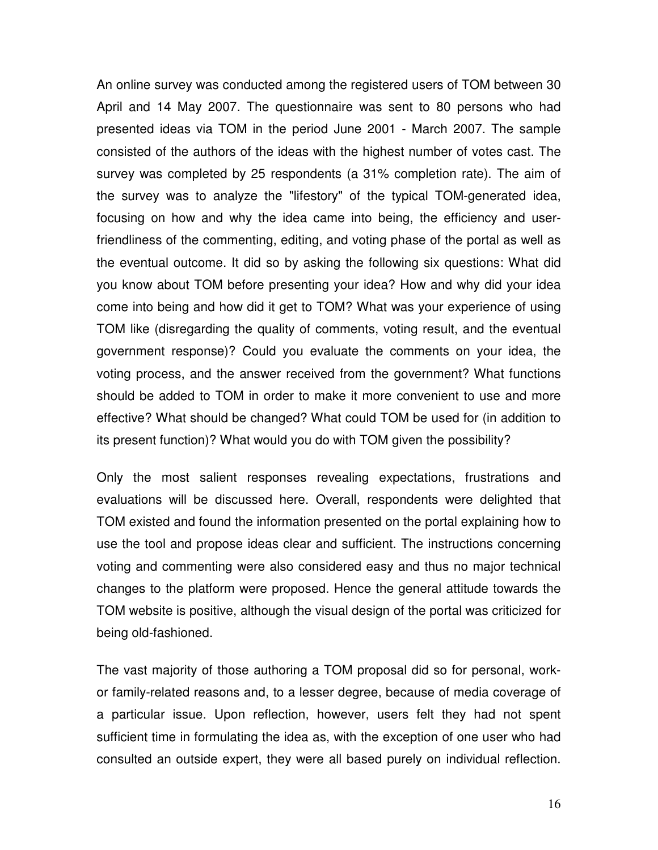An online survey was conducted among the registered users of TOM between 30 April and 14 May 2007. The questionnaire was sent to 80 persons who had presented ideas via TOM in the period June 2001 - March 2007. The sample consisted of the authors of the ideas with the highest number of votes cast. The survey was completed by 25 respondents (a 31% completion rate). The aim of the survey was to analyze the "lifestory" of the typical TOM-generated idea, focusing on how and why the idea came into being, the efficiency and userfriendliness of the commenting, editing, and voting phase of the portal as well as the eventual outcome. It did so by asking the following six questions: What did you know about TOM before presenting your idea? How and why did your idea come into being and how did it get to TOM? What was your experience of using TOM like (disregarding the quality of comments, voting result, and the eventual government response)? Could you evaluate the comments on your idea, the voting process, and the answer received from the government? What functions should be added to TOM in order to make it more convenient to use and more effective? What should be changed? What could TOM be used for (in addition to its present function)? What would you do with TOM given the possibility?

Only the most salient responses revealing expectations, frustrations and evaluations will be discussed here. Overall, respondents were delighted that TOM existed and found the information presented on the portal explaining how to use the tool and propose ideas clear and sufficient. The instructions concerning voting and commenting were also considered easy and thus no major technical changes to the platform were proposed. Hence the general attitude towards the TOM website is positive, although the visual design of the portal was criticized for being old-fashioned.

The vast majority of those authoring a TOM proposal did so for personal, workor family-related reasons and, to a lesser degree, because of media coverage of a particular issue. Upon reflection, however, users felt they had not spent sufficient time in formulating the idea as, with the exception of one user who had consulted an outside expert, they were all based purely on individual reflection.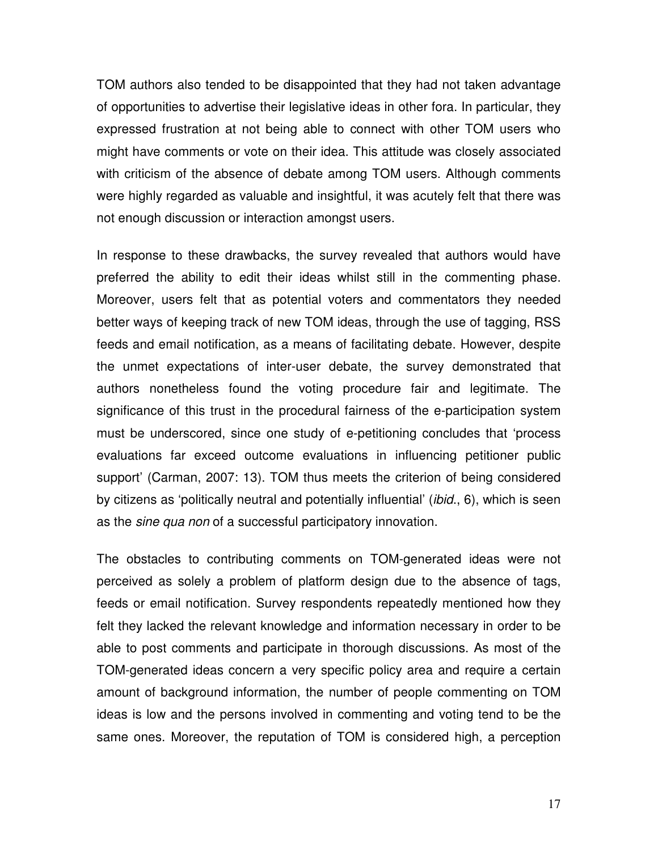TOM authors also tended to be disappointed that they had not taken advantage of opportunities to advertise their legislative ideas in other fora. In particular, they expressed frustration at not being able to connect with other TOM users who might have comments or vote on their idea. This attitude was closely associated with criticism of the absence of debate among TOM users. Although comments were highly regarded as valuable and insightful, it was acutely felt that there was not enough discussion or interaction amongst users.

In response to these drawbacks, the survey revealed that authors would have preferred the ability to edit their ideas whilst still in the commenting phase. Moreover, users felt that as potential voters and commentators they needed better ways of keeping track of new TOM ideas, through the use of tagging, RSS feeds and email notification, as a means of facilitating debate. However, despite the unmet expectations of inter-user debate, the survey demonstrated that authors nonetheless found the voting procedure fair and legitimate. The significance of this trust in the procedural fairness of the e-participation system must be underscored, since one study of e-petitioning concludes that 'process evaluations far exceed outcome evaluations in influencing petitioner public support' (Carman, 2007: 13). TOM thus meets the criterion of being considered by citizens as 'politically neutral and potentially influential' (ibid., 6), which is seen as the *sine qua non* of a successful participatory innovation.

The obstacles to contributing comments on TOM-generated ideas were not perceived as solely a problem of platform design due to the absence of tags, feeds or email notification. Survey respondents repeatedly mentioned how they felt they lacked the relevant knowledge and information necessary in order to be able to post comments and participate in thorough discussions. As most of the TOM-generated ideas concern a very specific policy area and require a certain amount of background information, the number of people commenting on TOM ideas is low and the persons involved in commenting and voting tend to be the same ones. Moreover, the reputation of TOM is considered high, a perception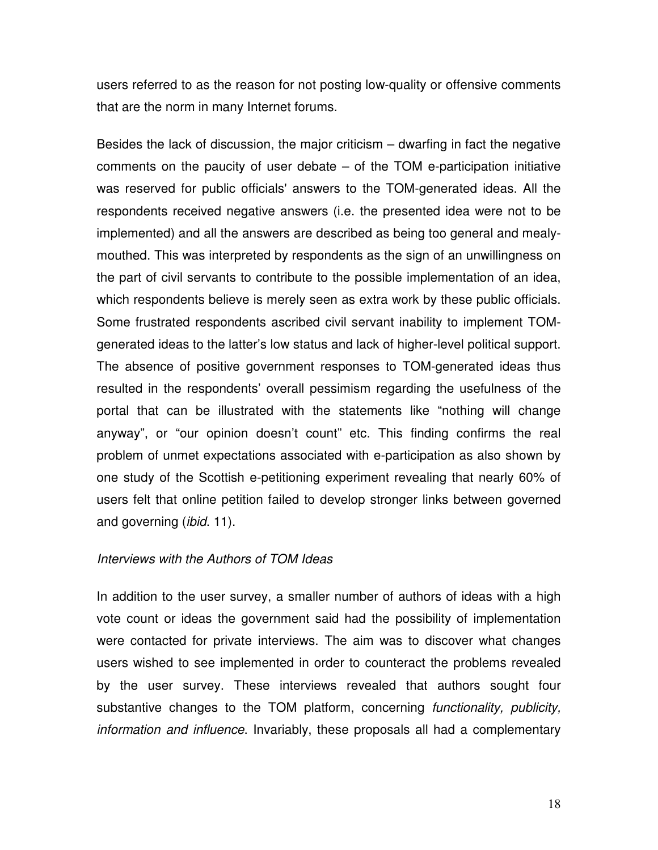users referred to as the reason for not posting low-quality or offensive comments that are the norm in many Internet forums.

Besides the lack of discussion, the major criticism – dwarfing in fact the negative comments on the paucity of user debate – of the TOM e-participation initiative was reserved for public officials' answers to the TOM-generated ideas. All the respondents received negative answers (i.e. the presented idea were not to be implemented) and all the answers are described as being too general and mealymouthed. This was interpreted by respondents as the sign of an unwillingness on the part of civil servants to contribute to the possible implementation of an idea, which respondents believe is merely seen as extra work by these public officials. Some frustrated respondents ascribed civil servant inability to implement TOMgenerated ideas to the latter's low status and lack of higher-level political support. The absence of positive government responses to TOM-generated ideas thus resulted in the respondents' overall pessimism regarding the usefulness of the portal that can be illustrated with the statements like "nothing will change anyway", or "our opinion doesn't count" etc. This finding confirms the real problem of unmet expectations associated with e-participation as also shown by one study of the Scottish e-petitioning experiment revealing that nearly 60% of users felt that online petition failed to develop stronger links between governed and governing *(ibid.* 11).

#### Interviews with the Authors of TOM Ideas

In addition to the user survey, a smaller number of authors of ideas with a high vote count or ideas the government said had the possibility of implementation were contacted for private interviews. The aim was to discover what changes users wished to see implemented in order to counteract the problems revealed by the user survey. These interviews revealed that authors sought four substantive changes to the TOM platform, concerning *functionality, publicity,* information and influence. Invariably, these proposals all had a complementary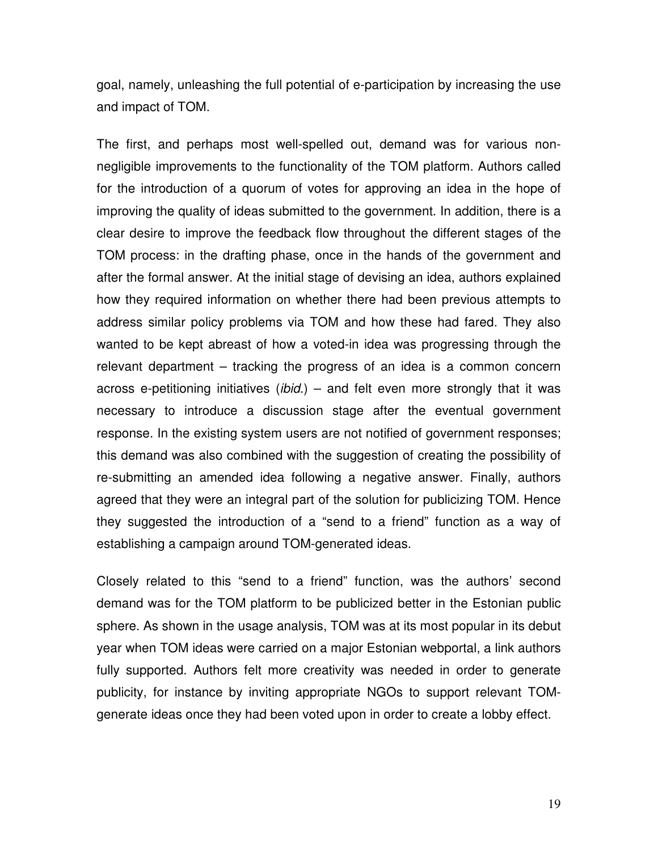goal, namely, unleashing the full potential of e-participation by increasing the use and impact of TOM.

The first, and perhaps most well-spelled out, demand was for various nonnegligible improvements to the functionality of the TOM platform. Authors called for the introduction of a quorum of votes for approving an idea in the hope of improving the quality of ideas submitted to the government. In addition, there is a clear desire to improve the feedback flow throughout the different stages of the TOM process: in the drafting phase, once in the hands of the government and after the formal answer. At the initial stage of devising an idea, authors explained how they required information on whether there had been previous attempts to address similar policy problems via TOM and how these had fared. They also wanted to be kept abreast of how a voted-in idea was progressing through the relevant department – tracking the progress of an idea is a common concern across e-petitioning initiatives (ibid.) – and felt even more strongly that it was necessary to introduce a discussion stage after the eventual government response. In the existing system users are not notified of government responses; this demand was also combined with the suggestion of creating the possibility of re-submitting an amended idea following a negative answer. Finally, authors agreed that they were an integral part of the solution for publicizing TOM. Hence they suggested the introduction of a "send to a friend" function as a way of establishing a campaign around TOM-generated ideas.

Closely related to this "send to a friend" function, was the authors' second demand was for the TOM platform to be publicized better in the Estonian public sphere. As shown in the usage analysis, TOM was at its most popular in its debut year when TOM ideas were carried on a major Estonian webportal, a link authors fully supported. Authors felt more creativity was needed in order to generate publicity, for instance by inviting appropriate NGOs to support relevant TOMgenerate ideas once they had been voted upon in order to create a lobby effect.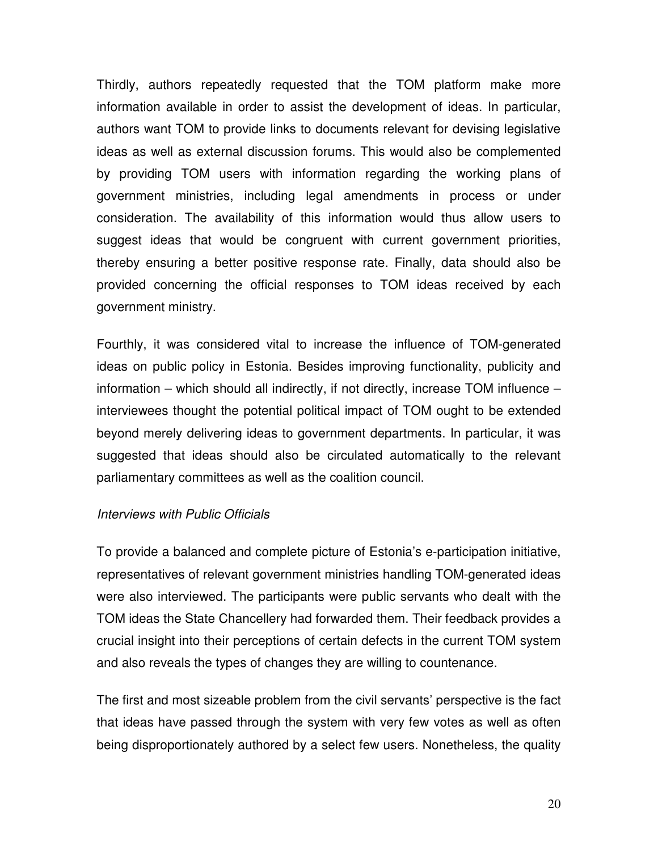Thirdly, authors repeatedly requested that the TOM platform make more information available in order to assist the development of ideas. In particular, authors want TOM to provide links to documents relevant for devising legislative ideas as well as external discussion forums. This would also be complemented by providing TOM users with information regarding the working plans of government ministries, including legal amendments in process or under consideration. The availability of this information would thus allow users to suggest ideas that would be congruent with current government priorities, thereby ensuring a better positive response rate. Finally, data should also be provided concerning the official responses to TOM ideas received by each government ministry.

Fourthly, it was considered vital to increase the influence of TOM-generated ideas on public policy in Estonia. Besides improving functionality, publicity and information – which should all indirectly, if not directly, increase TOM influence – interviewees thought the potential political impact of TOM ought to be extended beyond merely delivering ideas to government departments. In particular, it was suggested that ideas should also be circulated automatically to the relevant parliamentary committees as well as the coalition council.

#### Interviews with Public Officials

To provide a balanced and complete picture of Estonia's e-participation initiative, representatives of relevant government ministries handling TOM-generated ideas were also interviewed. The participants were public servants who dealt with the TOM ideas the State Chancellery had forwarded them. Their feedback provides a crucial insight into their perceptions of certain defects in the current TOM system and also reveals the types of changes they are willing to countenance.

The first and most sizeable problem from the civil servants' perspective is the fact that ideas have passed through the system with very few votes as well as often being disproportionately authored by a select few users. Nonetheless, the quality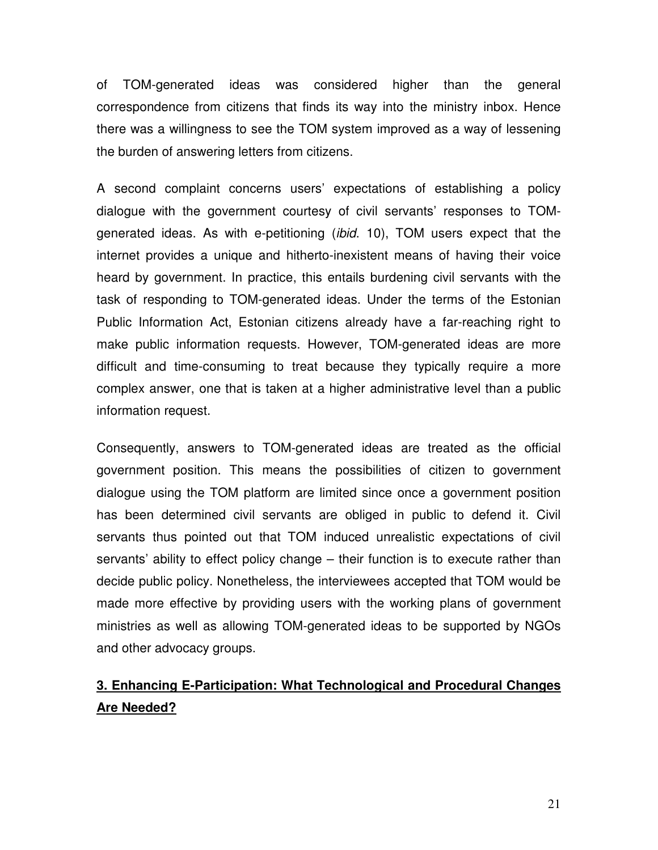of TOM-generated ideas was considered higher than the general correspondence from citizens that finds its way into the ministry inbox. Hence there was a willingness to see the TOM system improved as a way of lessening the burden of answering letters from citizens.

A second complaint concerns users' expectations of establishing a policy dialogue with the government courtesy of civil servants' responses to TOMgenerated ideas. As with e-petitioning (ibid. 10), TOM users expect that the internet provides a unique and hitherto-inexistent means of having their voice heard by government. In practice, this entails burdening civil servants with the task of responding to TOM-generated ideas. Under the terms of the Estonian Public Information Act, Estonian citizens already have a far-reaching right to make public information requests. However, TOM-generated ideas are more difficult and time-consuming to treat because they typically require a more complex answer, one that is taken at a higher administrative level than a public information request.

Consequently, answers to TOM-generated ideas are treated as the official government position. This means the possibilities of citizen to government dialogue using the TOM platform are limited since once a government position has been determined civil servants are obliged in public to defend it. Civil servants thus pointed out that TOM induced unrealistic expectations of civil servants' ability to effect policy change – their function is to execute rather than decide public policy. Nonetheless, the interviewees accepted that TOM would be made more effective by providing users with the working plans of government ministries as well as allowing TOM-generated ideas to be supported by NGOs and other advocacy groups.

# **3. Enhancing E-Participation: What Technological and Procedural Changes Are Needed?**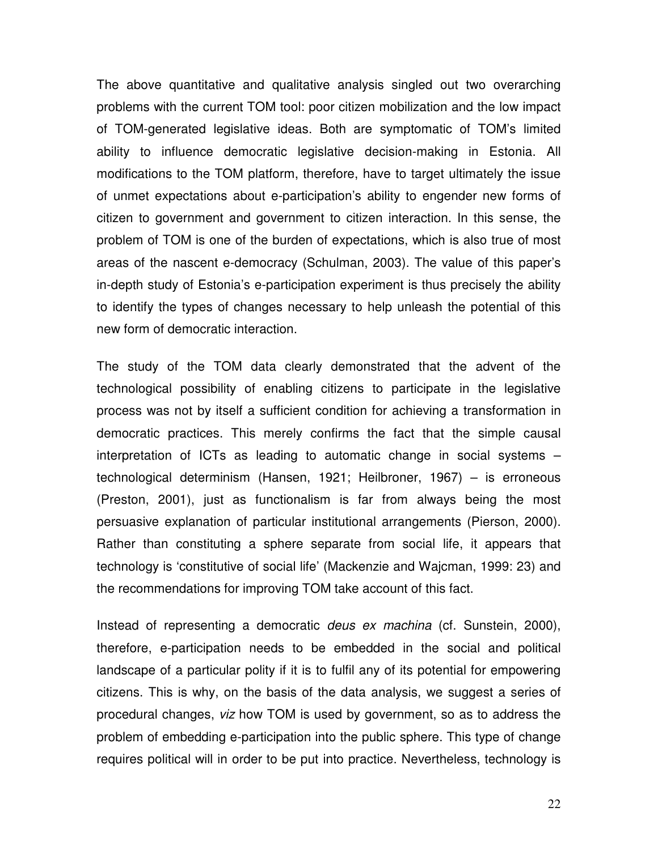The above quantitative and qualitative analysis singled out two overarching problems with the current TOM tool: poor citizen mobilization and the low impact of TOM-generated legislative ideas. Both are symptomatic of TOM's limited ability to influence democratic legislative decision-making in Estonia. All modifications to the TOM platform, therefore, have to target ultimately the issue of unmet expectations about e-participation's ability to engender new forms of citizen to government and government to citizen interaction. In this sense, the problem of TOM is one of the burden of expectations, which is also true of most areas of the nascent e-democracy (Schulman, 2003). The value of this paper's in-depth study of Estonia's e-participation experiment is thus precisely the ability to identify the types of changes necessary to help unleash the potential of this new form of democratic interaction.

The study of the TOM data clearly demonstrated that the advent of the technological possibility of enabling citizens to participate in the legislative process was not by itself a sufficient condition for achieving a transformation in democratic practices. This merely confirms the fact that the simple causal interpretation of ICTs as leading to automatic change in social systems – technological determinism (Hansen, 1921; Heilbroner, 1967) – is erroneous (Preston, 2001), just as functionalism is far from always being the most persuasive explanation of particular institutional arrangements (Pierson, 2000). Rather than constituting a sphere separate from social life, it appears that technology is 'constitutive of social life' (Mackenzie and Wajcman, 1999: 23) and the recommendations for improving TOM take account of this fact.

Instead of representing a democratic *deus ex machina* (cf. Sunstein, 2000), therefore, e-participation needs to be embedded in the social and political landscape of a particular polity if it is to fulfil any of its potential for empowering citizens. This is why, on the basis of the data analysis, we suggest a series of procedural changes, viz how TOM is used by government, so as to address the problem of embedding e-participation into the public sphere. This type of change requires political will in order to be put into practice. Nevertheless, technology is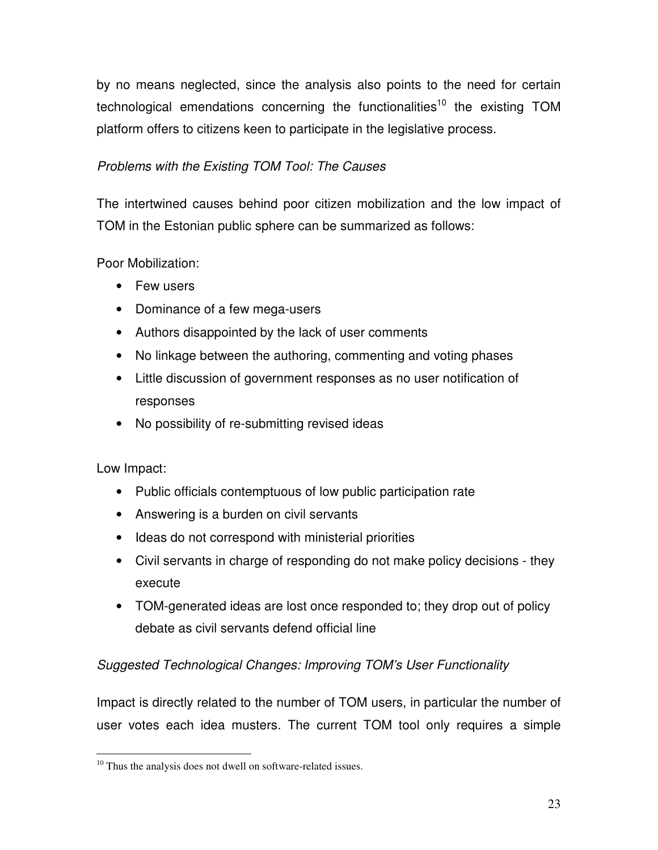by no means neglected, since the analysis also points to the need for certain technological emendations concerning the functionalities<sup>10</sup> the existing TOM platform offers to citizens keen to participate in the legislative process.

### Problems with the Existing TOM Tool: The Causes

The intertwined causes behind poor citizen mobilization and the low impact of TOM in the Estonian public sphere can be summarized as follows:

Poor Mobilization:

- Few users
- Dominance of a few mega-users
- Authors disappointed by the lack of user comments
- No linkage between the authoring, commenting and voting phases
- Little discussion of government responses as no user notification of responses
- No possibility of re-submitting revised ideas

Low Impact:

- Public officials contemptuous of low public participation rate
- Answering is a burden on civil servants
- Ideas do not correspond with ministerial priorities
- Civil servants in charge of responding do not make policy decisions they execute
- TOM-generated ideas are lost once responded to; they drop out of policy debate as civil servants defend official line

### Suggested Technological Changes: Improving TOM's User Functionality

Impact is directly related to the number of TOM users, in particular the number of user votes each idea musters. The current TOM tool only requires a simple

l <sup>10</sup> Thus the analysis does not dwell on software-related issues.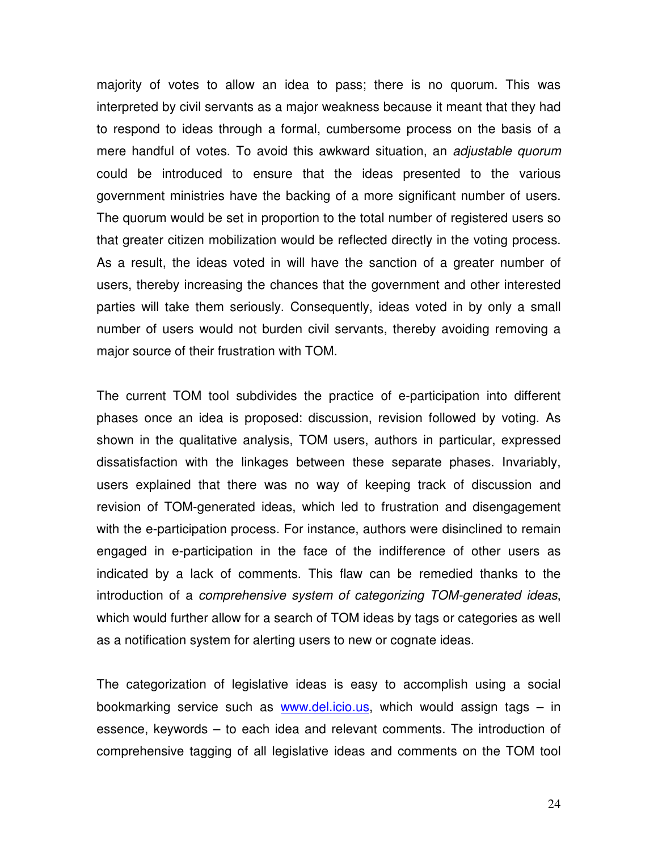majority of votes to allow an idea to pass; there is no quorum. This was interpreted by civil servants as a major weakness because it meant that they had to respond to ideas through a formal, cumbersome process on the basis of a mere handful of votes. To avoid this awkward situation, an adjustable quorum could be introduced to ensure that the ideas presented to the various government ministries have the backing of a more significant number of users. The quorum would be set in proportion to the total number of registered users so that greater citizen mobilization would be reflected directly in the voting process. As a result, the ideas voted in will have the sanction of a greater number of users, thereby increasing the chances that the government and other interested parties will take them seriously. Consequently, ideas voted in by only a small number of users would not burden civil servants, thereby avoiding removing a major source of their frustration with TOM.

The current TOM tool subdivides the practice of e-participation into different phases once an idea is proposed: discussion, revision followed by voting. As shown in the qualitative analysis, TOM users, authors in particular, expressed dissatisfaction with the linkages between these separate phases. Invariably, users explained that there was no way of keeping track of discussion and revision of TOM-generated ideas, which led to frustration and disengagement with the e-participation process. For instance, authors were disinclined to remain engaged in e-participation in the face of the indifference of other users as indicated by a lack of comments. This flaw can be remedied thanks to the introduction of a comprehensive system of categorizing TOM-generated ideas, which would further allow for a search of TOM ideas by tags or categories as well as a notification system for alerting users to new or cognate ideas.

The categorization of legislative ideas is easy to accomplish using a social bookmarking service such as www.del.icio.us, which would assign tags – in essence, keywords – to each idea and relevant comments. The introduction of comprehensive tagging of all legislative ideas and comments on the TOM tool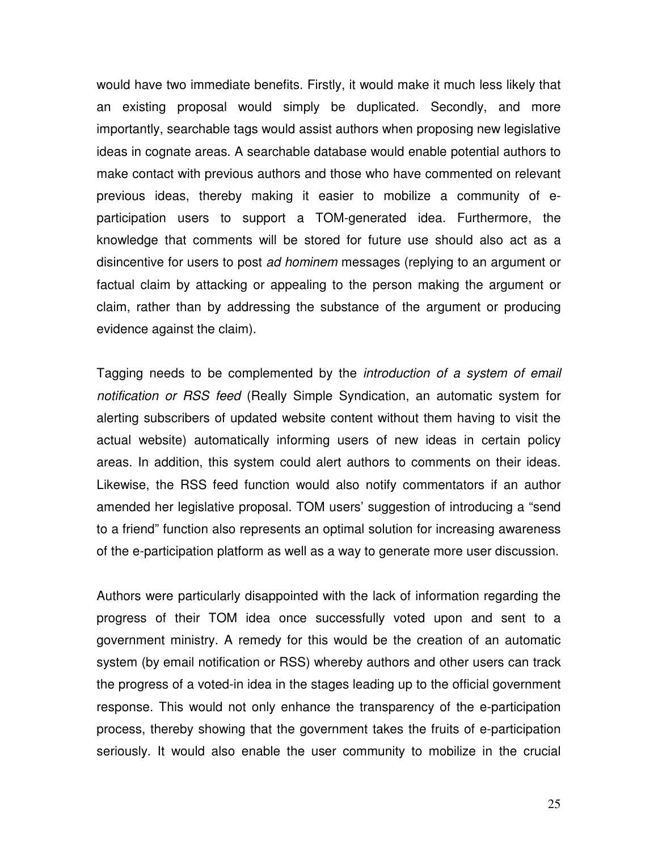would have two immediate benefits. Firstly, it would make it much less likely that an existing proposal would simply be duplicated. Secondly, and more importantly, searchable tags would assist authors when proposing new legislative ideas in cognate areas. A searchable database would enable potential authors to make contact with previous authors and those who have commented on relevant previous ideas, thereby making it easier to mobilize a community of eparticipation users to support a TOM-generated idea. Furthermore, the knowledge that comments will be stored for future use should also act as a disincentive for users to post ad hominem messages (replying to an argument or factual claim by attacking or appealing to the person making the argument or claim, rather than by addressing the substance of the argument or producing evidence against the claim).

Tagging needs to be complemented by the *introduction of a system of email* notification or RSS feed (Really Simple Syndication, an automatic system for alerting subscribers of updated website content without them having to visit the actual website) automatically informing users of new ideas in certain policy areas. In addition, this system could alert authors to comments on their ideas. Likewise, the RSS feed function would also notify commentators if an author amended her legislative proposal. TOM users' suggestion of introducing a "send to a friend" function also represents an optimal solution for increasing awareness of the e-participation platform as well as a way to generate more user discussion.

Authors were particularly disappointed with the lack of information regarding the progress of their TOM idea once successfully voted upon and sent to a government ministry. A remedy for this would be the creation of an automatic system (by email notification or RSS) whereby authors and other users can track the progress of a voted-in idea in the stages leading up to the official government response. This would not only enhance the transparency of the e-participation process, thereby showing that the government takes the fruits of e-participation seriously. It would also enable the user community to mobilize in the crucial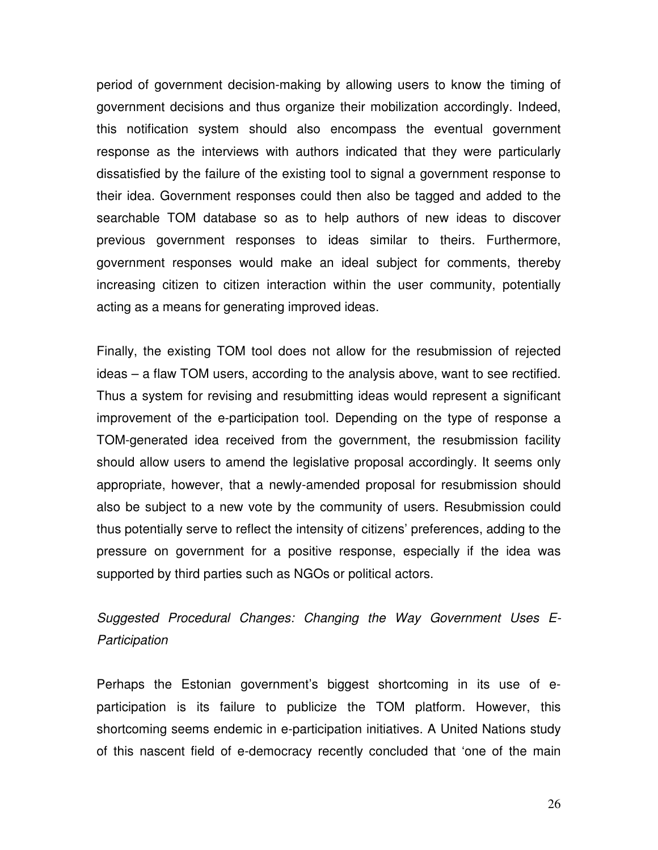period of government decision-making by allowing users to know the timing of government decisions and thus organize their mobilization accordingly. Indeed, this notification system should also encompass the eventual government response as the interviews with authors indicated that they were particularly dissatisfied by the failure of the existing tool to signal a government response to their idea. Government responses could then also be tagged and added to the searchable TOM database so as to help authors of new ideas to discover previous government responses to ideas similar to theirs. Furthermore, government responses would make an ideal subject for comments, thereby increasing citizen to citizen interaction within the user community, potentially acting as a means for generating improved ideas.

Finally, the existing TOM tool does not allow for the resubmission of rejected ideas – a flaw TOM users, according to the analysis above, want to see rectified. Thus a system for revising and resubmitting ideas would represent a significant improvement of the e-participation tool. Depending on the type of response a TOM-generated idea received from the government, the resubmission facility should allow users to amend the legislative proposal accordingly. It seems only appropriate, however, that a newly-amended proposal for resubmission should also be subject to a new vote by the community of users. Resubmission could thus potentially serve to reflect the intensity of citizens' preferences, adding to the pressure on government for a positive response, especially if the idea was supported by third parties such as NGOs or political actors.

# Suggested Procedural Changes: Changing the Way Government Uses E-**Participation**

Perhaps the Estonian government's biggest shortcoming in its use of eparticipation is its failure to publicize the TOM platform. However, this shortcoming seems endemic in e-participation initiatives. A United Nations study of this nascent field of e-democracy recently concluded that 'one of the main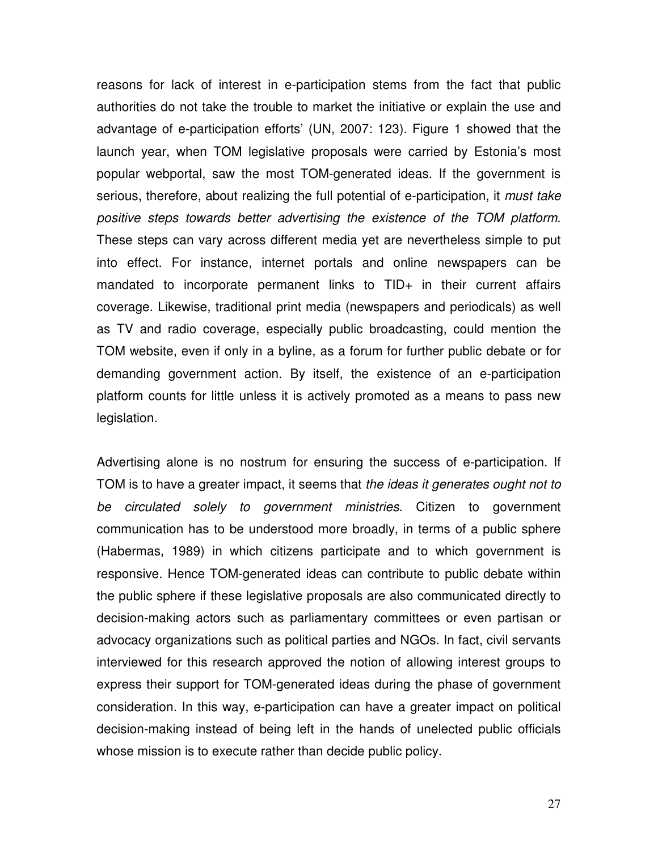reasons for lack of interest in e-participation stems from the fact that public authorities do not take the trouble to market the initiative or explain the use and advantage of e-participation efforts' (UN, 2007: 123). Figure 1 showed that the launch year, when TOM legislative proposals were carried by Estonia's most popular webportal, saw the most TOM-generated ideas. If the government is serious, therefore, about realizing the full potential of e-participation, it *must take* positive steps towards better advertising the existence of the TOM platform. These steps can vary across different media yet are nevertheless simple to put into effect. For instance, internet portals and online newspapers can be mandated to incorporate permanent links to TID+ in their current affairs coverage. Likewise, traditional print media (newspapers and periodicals) as well as TV and radio coverage, especially public broadcasting, could mention the TOM website, even if only in a byline, as a forum for further public debate or for demanding government action. By itself, the existence of an e-participation platform counts for little unless it is actively promoted as a means to pass new legislation.

Advertising alone is no nostrum for ensuring the success of e-participation. If TOM is to have a greater impact, it seems that the ideas it generates ought not to be circulated solely to government ministries. Citizen to government communication has to be understood more broadly, in terms of a public sphere (Habermas, 1989) in which citizens participate and to which government is responsive. Hence TOM-generated ideas can contribute to public debate within the public sphere if these legislative proposals are also communicated directly to decision-making actors such as parliamentary committees or even partisan or advocacy organizations such as political parties and NGOs. In fact, civil servants interviewed for this research approved the notion of allowing interest groups to express their support for TOM-generated ideas during the phase of government consideration. In this way, e-participation can have a greater impact on political decision-making instead of being left in the hands of unelected public officials whose mission is to execute rather than decide public policy.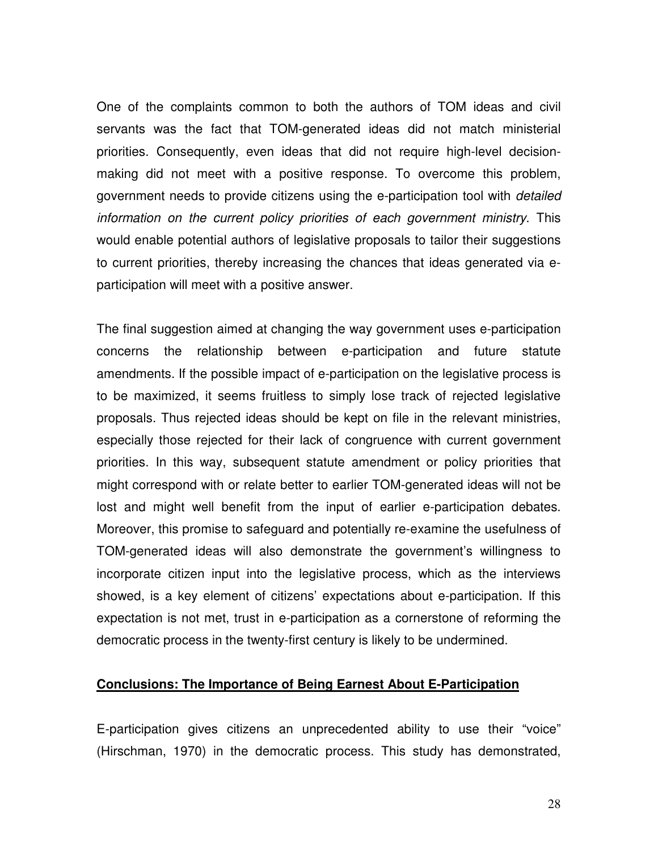One of the complaints common to both the authors of TOM ideas and civil servants was the fact that TOM-generated ideas did not match ministerial priorities. Consequently, even ideas that did not require high-level decisionmaking did not meet with a positive response. To overcome this problem, government needs to provide citizens using the e-participation tool with *detailed* information on the current policy priorities of each government ministry. This would enable potential authors of legislative proposals to tailor their suggestions to current priorities, thereby increasing the chances that ideas generated via eparticipation will meet with a positive answer.

The final suggestion aimed at changing the way government uses e-participation concerns the relationship between e-participation and future statute amendments. If the possible impact of e-participation on the legislative process is to be maximized, it seems fruitless to simply lose track of rejected legislative proposals. Thus rejected ideas should be kept on file in the relevant ministries, especially those rejected for their lack of congruence with current government priorities. In this way, subsequent statute amendment or policy priorities that might correspond with or relate better to earlier TOM-generated ideas will not be lost and might well benefit from the input of earlier e-participation debates. Moreover, this promise to safeguard and potentially re-examine the usefulness of TOM-generated ideas will also demonstrate the government's willingness to incorporate citizen input into the legislative process, which as the interviews showed, is a key element of citizens' expectations about e-participation. If this expectation is not met, trust in e-participation as a cornerstone of reforming the democratic process in the twenty-first century is likely to be undermined.

#### **Conclusions: The Importance of Being Earnest About E-Participation**

E-participation gives citizens an unprecedented ability to use their "voice" (Hirschman, 1970) in the democratic process. This study has demonstrated,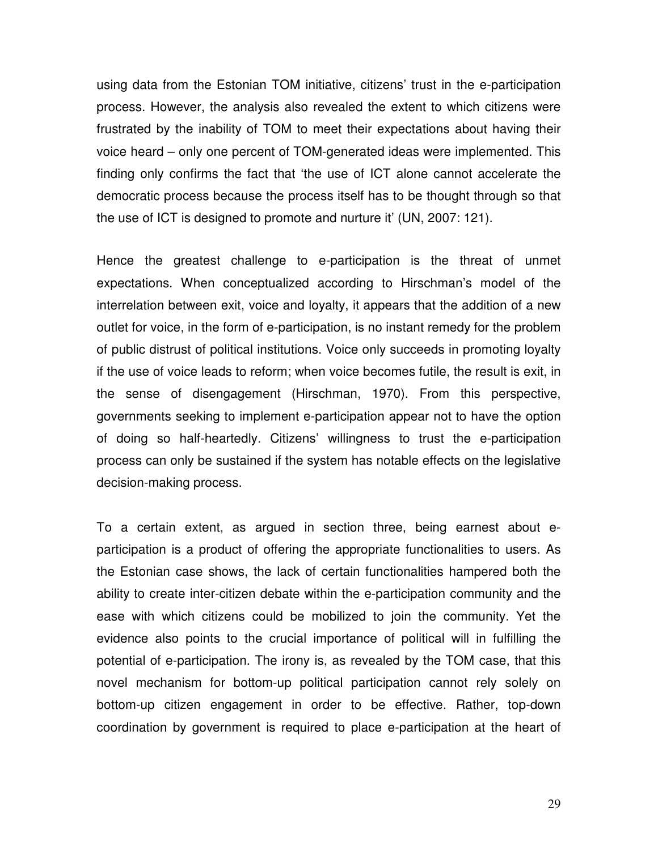using data from the Estonian TOM initiative, citizens' trust in the e-participation process. However, the analysis also revealed the extent to which citizens were frustrated by the inability of TOM to meet their expectations about having their voice heard – only one percent of TOM-generated ideas were implemented. This finding only confirms the fact that 'the use of ICT alone cannot accelerate the democratic process because the process itself has to be thought through so that the use of ICT is designed to promote and nurture it' (UN, 2007: 121).

Hence the greatest challenge to e-participation is the threat of unmet expectations. When conceptualized according to Hirschman's model of the interrelation between exit, voice and loyalty, it appears that the addition of a new outlet for voice, in the form of e-participation, is no instant remedy for the problem of public distrust of political institutions. Voice only succeeds in promoting loyalty if the use of voice leads to reform; when voice becomes futile, the result is exit, in the sense of disengagement (Hirschman, 1970). From this perspective, governments seeking to implement e-participation appear not to have the option of doing so half-heartedly. Citizens' willingness to trust the e-participation process can only be sustained if the system has notable effects on the legislative decision-making process.

To a certain extent, as argued in section three, being earnest about eparticipation is a product of offering the appropriate functionalities to users. As the Estonian case shows, the lack of certain functionalities hampered both the ability to create inter-citizen debate within the e-participation community and the ease with which citizens could be mobilized to join the community. Yet the evidence also points to the crucial importance of political will in fulfilling the potential of e-participation. The irony is, as revealed by the TOM case, that this novel mechanism for bottom-up political participation cannot rely solely on bottom-up citizen engagement in order to be effective. Rather, top-down coordination by government is required to place e-participation at the heart of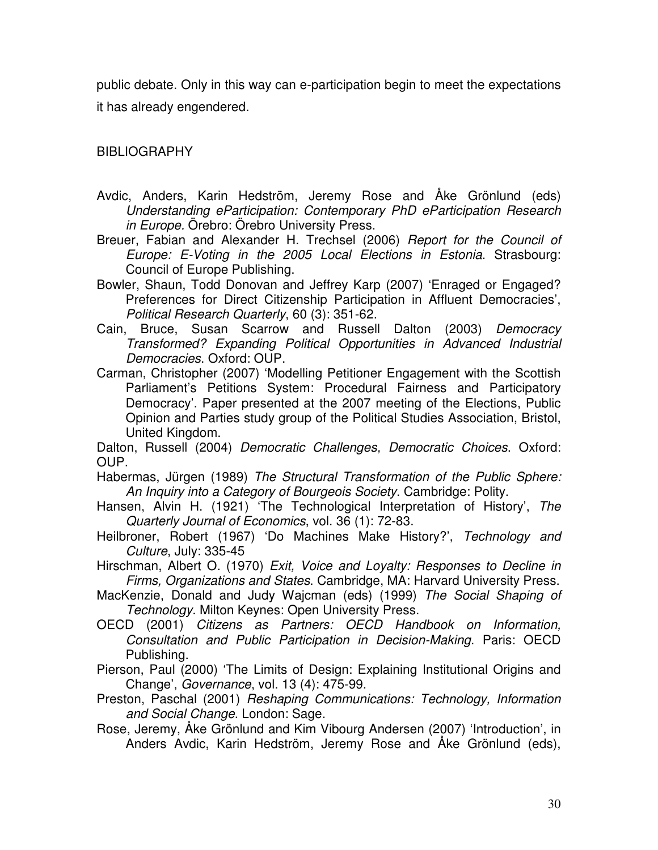public debate. Only in this way can e-participation begin to meet the expectations it has already engendered.

BIBLIOGRAPHY

- Avdic, Anders, Karin Hedström, Jeremy Rose and Åke Grönlund (eds) Understanding eParticipation: Contemporary PhD eParticipation Research in Europe. Örebro: Örebro University Press.
- Breuer, Fabian and Alexander H. Trechsel (2006) Report for the Council of Europe: E-Voting in the 2005 Local Elections in Estonia. Strasbourg: Council of Europe Publishing.
- Bowler, Shaun, Todd Donovan and Jeffrey Karp (2007) 'Enraged or Engaged? Preferences for Direct Citizenship Participation in Affluent Democracies', Political Research Quarterly, 60 (3): 351-62.
- Cain, Bruce, Susan Scarrow and Russell Dalton (2003) Democracy Transformed? Expanding Political Opportunities in Advanced Industrial Democracies. Oxford: OUP.
- Carman, Christopher (2007) 'Modelling Petitioner Engagement with the Scottish Parliament's Petitions System: Procedural Fairness and Participatory Democracy'. Paper presented at the 2007 meeting of the Elections, Public Opinion and Parties study group of the Political Studies Association, Bristol, United Kingdom.

Dalton, Russell (2004) Democratic Challenges, Democratic Choices. Oxford: OUP.

- Habermas, Jürgen (1989) The Structural Transformation of the Public Sphere: An Inquiry into a Category of Bourgeois Society. Cambridge: Polity.
- Hansen, Alvin H. (1921) 'The Technological Interpretation of History', The Quarterly Journal of Economics, vol. 36 (1): 72-83.
- Heilbroner, Robert (1967) 'Do Machines Make History?', Technology and Culture, July: 335-45
- Hirschman, Albert O. (1970) Exit, Voice and Loyalty: Responses to Decline in Firms, Organizations and States. Cambridge, MA: Harvard University Press.

MacKenzie, Donald and Judy Wajcman (eds) (1999) The Social Shaping of Technology. Milton Keynes: Open University Press.

- OECD (2001) Citizens as Partners: OECD Handbook on Information, Consultation and Public Participation in Decision-Making. Paris: OECD Publishing.
- Pierson, Paul (2000) 'The Limits of Design: Explaining Institutional Origins and Change', Governance, vol. 13 (4): 475-99.
- Preston, Paschal (2001) Reshaping Communications: Technology, Information and Social Change. London: Sage.
- Rose, Jeremy, Åke Grönlund and Kim Vibourg Andersen (2007) 'Introduction', in Anders Avdic, Karin Hedström, Jeremy Rose and Åke Grönlund (eds),